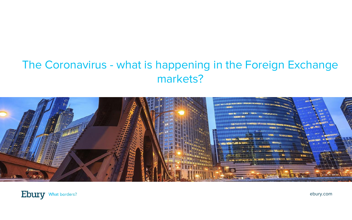### The Coronavirus - what is happening in the Foreign Exchange markets?



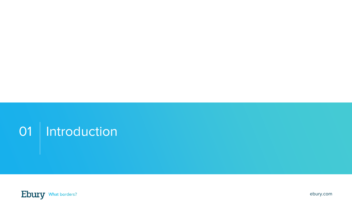# 01 | Introduction

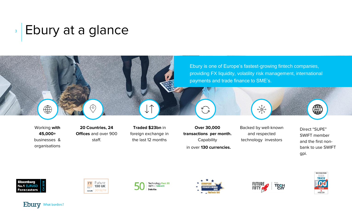## **BEbury at a glance**







Technology Fast 50 2017 UK WINNER







**Ebury** What borders?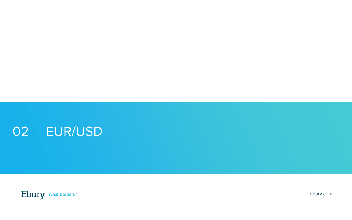

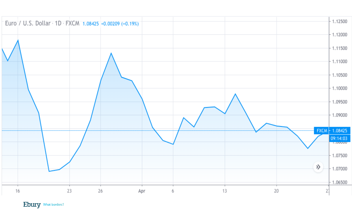

Ebury What borders?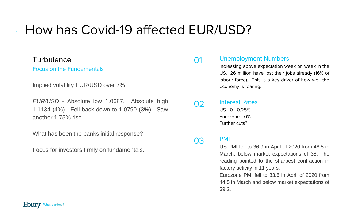#### How has Covid-19 affected EUR/USD? 6

### Turbulence

Focus on the Fundamentals

Implied volatility EUR/USD over 7%

*EUR/USD* - Absolute low 1.0687. Absolute high 1.1134 (4%). Fell back down to 1.0790 (3%). Saw another 1.75% rise.

What has been the banks initial response?

Focus for investors firmly on fundamentals.

#### 01 Unemployment Numbers

Increasing above expectation week on week in the US. 26 million have lost their jobs already (16% of labour force). This is a key driver of how well the economy is fearing.

#### 02 Interest Rates  $US - 0 - 0.25%$ Eurozone - 0% Further cuts?

#### 03 PMI

US PMI fell to 36.9 in April of 2020 from 48.5 in March, below market expectations of 38. The reading pointed to the sharpest contraction in factory activity in 11 years.

Eurozone PMI fell to 33.6 in April of 2020 from 44.5 in March and below market expectations of 39.2.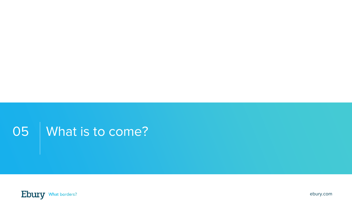## 05 | What is to come?

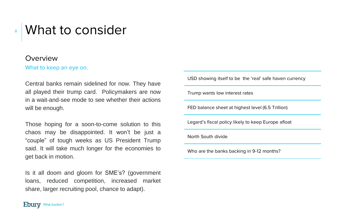## What to consider

#### Overview

8

What to keep an eye on.

Central banks remain sidelined for now. They have all played their trump card. Policymakers are now in a wait-and-see mode to see whether their actions will be enough.

Those hoping for a soon-to-come solution to this chaos may be disappointed. It won't be just a "couple" of tough weeks as US President Trump said. It will take much longer for the economies to get back in motion.

Is it all doom and gloom for SME's? (government loans, reduced competition, increased market share, larger recruiting pool, chance to adapt).

USD showing itself to be the 'real' safe haven currency

Trump wants low interest rates

FED balance sheet at highest level (6.5 Trillion)

Legard's fiscal policy likely to keep Europe afloat

North South divide

Who are the banks backing in 9-12 months?